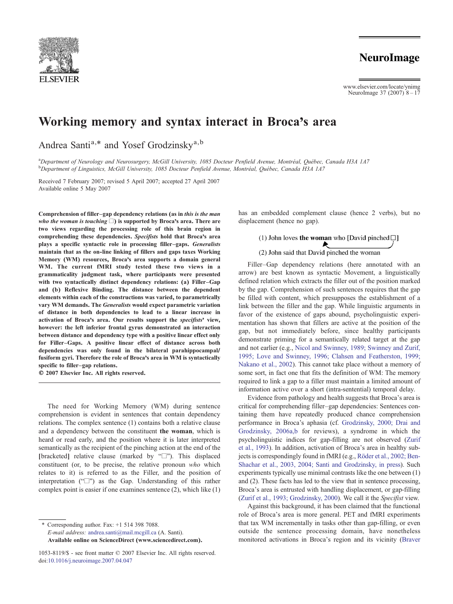

www.elsevier.com/locate/ynimg NeuroImage 37 (2007)  $8 - 17$ 

# Working memory and syntax interact in Broca's area

Andrea Santi<sup>a,\*</sup> and Yosef Grodzinsky<sup>a,b</sup>

a Department of Neurology and Neurosurgery, McGill University, 1085 Docteur Penfield Avenue, Montréal, Québec, Canada H3A 1A7 b Department of Linguistics, McGill University, 1085 Docteur Penfield Avenue, Montréal, Québec, Canada H3A 1A7

Received 7 February 2007; revised 5 April 2007; accepted 27 April 2007 Available online 5 May 2007

Comprehension of filler–gap dependency relations (as in this is the man who the woman is touching  $\square$ ) is supported by Broca's area. There are two views regarding the processing role of this brain region in comprehending these dependencies. Specifists hold that Broca's area plays a specific syntactic role in processing filler–gaps. Generalists maintain that as the on-line linking of fillers and gaps taxes Working Memory (WM) resources, Broca's area supports a domain general WM. The current fMRI study tested these two views in a grammaticality judgment task, where participants were presented with two syntactically distinct dependency relations: (a) Filler–Gap and (b) Reflexive Binding. The distance between the dependent elements within each of the constructions was varied, to parametrically vary WM demands. The Generalists would expect parametric variation of distance in both dependencies to lead to a linear increase in activation of Broca's area. Our results support the specifists' view, however: the left inferior frontal gyrus demonstrated an interaction between distance and dependency type with a positive linear effect only for Filler–Gaps. A positive linear effect of distance across both dependencies was only found in the bilateral parahippocampal/ fusiform gyri. Therefore the role of Broca's area in WM is syntactically specific to filler–gap relations.

© 2007 Elsevier Inc. All rights reserved.

The need for Working Memory (WM) during sentence comprehension is evident in sentences that contain dependency relations. The complex sentence (1) contains both a relative clause and a dependency between the constituent the woman, which is heard or read early, and the position where it is later interpreted semantically as the recipient of the pinching action at the end of the [bracketed] relative clause (marked by "□"). This displaced constituent (or, to be precise, the relative pronoun who which relates to it) is referred to as the Filler, and the position of interpretation ("□") as the Gap. Understanding of this rather complex point is easier if one examines sentence (2), which like (1)

⁎ Corresponding author. Fax: +1 514 398 7088.

E-mail address: [andrea.santi@mail.mcgill.ca](mailto:andrea.santi@mail.mcgill.ca) (A. Santi). Available online on ScienceDirect (www.sciencedirect.com). has an embedded complement clause (hence 2 verbs), but no displacement (hence no gap).

(1) John loves **the woman** who [David pinched  $\Box$ ]<br>(2) John said that David pinched the woman

Filler–Gap dependency relations (here annotated with an arrow) are best known as syntactic Movement, a linguistically defined relation which extracts the filler out of the position marked by the gap. Comprehension of such sentences requires that the gap be filled with content, which presupposes the establishment of a link between the filler and the gap. While linguistic arguments in favor of the existence of gaps abound, psycholinguistic experimentation has shown that fillers are active at the position of the gap, but not immediately before, since healthy participants demonstrate priming for a semantically related target at the gap and not earlier (e.g., [Nicol and Swinney, 1989; Swinney and Zurif,](#page-9-0) [1995; Love and Swinney, 1996; Clahsen and Featherston, 1999;](#page-9-0) [Nakano et al., 2002\)](#page-9-0). This cannot take place without a memory of some sort, in fact one that fits the definition of WM: The memory required to link a gap to a filler must maintain a limited amount of information active over a short (intra-sentential) temporal delay.

Evidence from pathology and health suggests that Broca's area is critical for comprehending filler–gap dependencies: Sentences containing them have repeatedly produced chance comprehension performance in Broca's aphasia (cf. [Grodzinsky, 2000; Drai and](#page-9-0) [Grodzinsky, 2006a,b](#page-9-0) for reviews), a syndrome in which the psycholinguistic indices for gap-filling are not observed ([Zurif](#page-9-0) [et al., 1993\)](#page-9-0). In addition, activation of Broca's area in healthy subjects is correspondingly found in fMRI (e.g., [Röder et al., 2002; Ben-](#page-9-0)[Shachar et al., 2003, 2004; Santi and Grodzinsky, in press\)](#page-9-0). Such experiments typically use minimal contrasts like the one between (1) and (2). These facts has led to the view that in sentence processing, Broca's area is entrusted with handling displacement, or gap-filling ([Zurif et al., 1993; Grodzinsky, 2000](#page-9-0)). We call it the Specifist view.

Against this background, it has been claimed that the functional role of Broca's area is more general. PET and fMRI experiments that tax WM incrementally in tasks other than gap-filling, or even outside the sentence processing domain, have nonetheless monitored activations in Broca's region and its vicinity ([Braver](#page-9-0)

<sup>1053-8119/\$ -</sup> see front matter © 2007 Elsevier Inc. All rights reserved. doi[:10.1016/j.neuroimage.2007.04.047](http://dx.doi.org/10.1016/j.neuroimage.2007.04.047)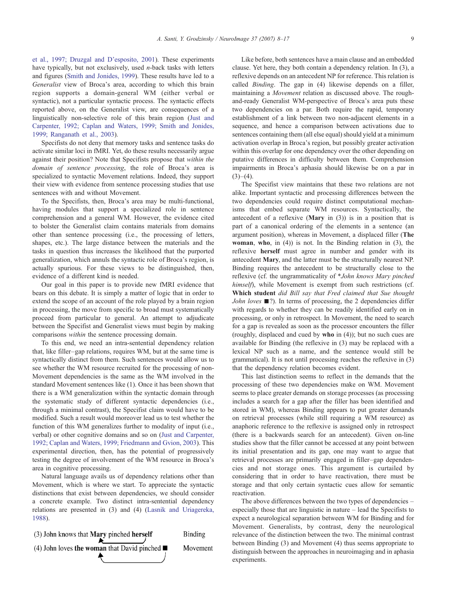[et al., 1997; Druzgal and D'esposito, 2001\)](#page-9-0). These experiments have typically, but not exclusively, used  $n$ -back tasks with letters and figures [\(Smith and Jonides, 1999](#page-9-0)). These results have led to a Generalist view of Broca's area, according to which this brain region supports a domain-general WM (either verbal or syntactic), not a particular syntactic process. The syntactic effects reported above, on the Generalist view, are consequences of a linguistically non-selective role of this brain region ([Just and](#page-9-0) [Carpenter, 1992; Caplan and Waters, 1999; Smith and Jonides,](#page-9-0) [1999; Ranganath et al., 2003](#page-9-0)).

Specifists do not deny that memory tasks and sentence tasks do activate similar loci in fMRI. Yet, do these results necessarily argue against their position? Note that Specifists propose that within the domain of sentence processing, the role of Broca's area is specialized to syntactic Movement relations. Indeed, they support their view with evidence from sentence processing studies that use sentences with and without Movement.

To the Specifists, then, Broca's area may be multi-functional, having modules that support a specialized role in sentence comprehension and a general WM. However, the evidence cited to bolster the Generalist claim contains materials from domains other than sentence processing (i.e., the processing of letters, shapes, etc.). The large distance between the materials and the tasks in question thus increases the likelihood that the purported generalization, which annuls the syntactic role of Broca's region, is actually spurious. For these views to be distinguished, then, evidence of a different kind is needed.

Our goal in this paper is to provide new fMRI evidence that bears on this debate. It is simply a matter of logic that in order to extend the scope of an account of the role played by a brain region in processing, the move from specific to broad must systematically proceed from particular to general. An attempt to adjudicate between the Specifist and Generalist views must begin by making comparisons within the sentence processing domain.

To this end, we need an intra-sentential dependency relation that, like filler–gap relations, requires WM, but at the same time is syntactically distinct from them. Such sentences would allow us to see whether the WM resource recruited for the processing of non-Movement dependencies is the same as the WM involved in the standard Movement sentences like (1). Once it has been shown that there is a WM generalization within the syntactic domain through the systematic study of different syntactic dependencies (i.e., through a minimal contrast), the Specifist claim would have to be modified. Such a result would moreover lead us to test whether the function of this WM generalizes further to modality of input (i.e., verbal) or other cognitive domains and so on [\(Just and Carpenter,](#page-9-0) [1992; Caplan and Waters, 1999; Friedmann and Gvion, 2003\)](#page-9-0). This experimental direction, then, has the potential of progressively testing the degree of involvement of the WM resource in Broca's area in cognitive processing.

Natural language avails us of dependency relations other than Movement, which is where we start. To appreciate the syntactic distinctions that exist between dependencies, we should consider a concrete example. Two distinct intra-sentential dependency relations are presented in (3) and (4) ([Lasnik and Uriagereka,](#page-9-0) [1988](#page-9-0)).



Like before, both sentences have a main clause and an embedded clause. Yet here, they both contain a dependency relation. In (3), a reflexive depends on an antecedent NP for reference. This relation is called Binding. The gap in (4) likewise depends on a filler, maintaining a Movement relation as discussed above. The roughand-ready Generalist WM-perspective of Broca's area puts these two dependencies on a par. Both require the rapid, temporary establishment of a link between two non-adjacent elements in a sequence, and hence a comparison between activations due to sentences containing them (all else equal) should yield at a minimum activation overlap in Broca's region, but possibly greater activation within this overlap for one dependency over the other depending on putative differences in difficulty between them. Comprehension impairments in Broca's aphasia should likewise be on a par in  $(3)-(4)$ .

The Specifist view maintains that these two relations are not alike. Important syntactic and processing differences between the two dependencies could require distinct computational mechanisms that embed separate WM resources. Syntactically, the antecedent of a reflexive (Mary in  $(3)$ ) is in a position that is part of a canonical ordering of the elements in a sentence (an argument position), whereas in Movement, a displaced filler (The woman, who, in (4)) is not. In the Binding relation in (3), the reflexive herself must agree in number and gender with its antecedent Mary, and the latter must be the structurally nearest NP. Binding requires the antecedent to be structurally close to the reflexive (cf. the ungrammaticality of \*John knows Mary pinched himself), while Movement is exempt from such restrictions (cf. Which student did Bill say that Fred claimed that Sue thought John loves  $\blacksquare$ ?). In terms of processing, the 2 dependencies differ with regards to whether they can be readily identified early on in processing, or only in retrospect. In Movement, the need to search for a gap is revealed as soon as the processor encounters the filler (roughly, displaced and cued by who in (4)); but no such cues are available for Binding (the reflexive in (3) may be replaced with a lexical NP such as a name, and the sentence would still be grammatical). It is not until processing reaches the reflexive in (3) that the dependency relation becomes evident.

This last distinction seems to reflect in the demands that the processing of these two dependencies make on WM. Movement seems to place greater demands on storage processes (as processing includes a search for a gap after the filler has been identified and stored in WM), whereas Binding appears to put greater demands on retrieval processes (while still requiring a WM resource) as anaphoric reference to the reflexive is assigned only in retrospect (there is a backwards search for an antecedent). Given on-line studies show that the filler cannot be accessed at any point between its initial presentation and its gap, one may want to argue that retrieval processes are primarily engaged in filler–gap dependencies and not storage ones. This argument is curtailed by considering that in order to have reactivation, there must be storage and that only certain syntactic cues allow for semantic reactivation.

The above differences between the two types of dependencies – especially those that are linguistic in nature – lead the Specifists to expect a neurological separation between WM for Binding and for Movement. Generalists, by contrast, deny the neurological relevance of the distinction between the two. The minimal contrast between Binding (3) and Movement (4) thus seems appropriate to distinguish between the approaches in neuroimaging and in aphasia experiments.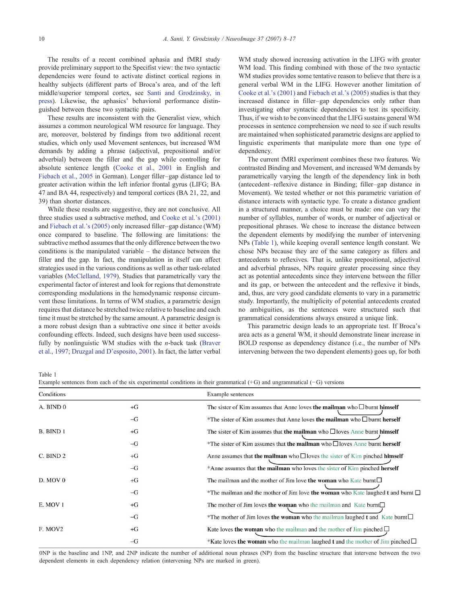<span id="page-2-0"></span>The results of a recent combined aphasia and fMRI study provide preliminary support to the Specifist view: the two syntactic dependencies were found to activate distinct cortical regions in healthy subjects (different parts of Broca's area, and of the left middle/superior temporal cortex, see [Santi and Grodzinsky, in](#page-9-0) [press\)](#page-9-0). Likewise, the aphasics' behavioral performance distinguished between these two syntactic pairs.

These results are inconsistent with the Generalist view, which assumes a common neurological WM resource for language. They are, moreover, bolstered by findings from two additional recent studies, which only used Movement sentences, but increased WM demands by adding a phrase (adjectival, prepositional and/or adverbial) between the filler and the gap while controlling for absolute sentence length [\(Cooke et al., 2001](#page-9-0) in English and [Fiebach et al., 2005](#page-9-0) in German). Longer filler–gap distance led to greater activation within the left inferior frontal gyrus (LIFG; BA 47 and BA 44, respectively) and temporal cortices (BA 21, 22, and 39) than shorter distances.

While these results are suggestive, they are not conclusive. All three studies used a subtractive method, and [Cooke et al.'s \(2001\)](#page-9-0) and [Fiebach et al.'s \(2005\)](#page-9-0) only increased filler–gap distance (WM) once compared to baseline. The following are limitations: the subtractive method assumes that the only difference between the two conditions is the manipulated variable – the distance between the filler and the gap. In fact, the manipulation in itself can affect strategies used in the various conditions as well as other task-related variables [\(McClelland, 1979](#page-9-0)). Studies that parametrically vary the experimental factor of interest and look for regions that demonstrate corresponding modulations in the hemodynamic response circumvent these limitations. In terms of WM studies, a parametric design requires that distance be stretched twice relative to baseline and each time it must be stretched by the same amount. A parametric design is a more robust design than a subtractive one since it better avoids confounding effects. Indeed, such designs have been used successfully by nonlinguistic WM studies with the  $n$ -back task ([Braver](#page-9-0) [et al., 1997; Druzgal and D'esposito, 2001\)](#page-9-0). In fact, the latter verbal

WM study showed increasing activation in the LIFG with greater WM load. This finding combined with those of the two syntactic WM studies provides some tentative reason to believe that there is a general verbal WM in the LIFG. However another limitation of [Cooke et al.'s \(2001\)](#page-9-0) and [Fiebach et al.'s \(2005\)](#page-9-0) studies is that they increased distance in filler–gap dependencies only rather than investigating other syntactic dependencies to test its specificity. Thus, if we wish to be convinced that the LIFG sustains general WM processes in sentence comprehension we need to see if such results are maintained when sophisticated parametric designs are applied to linguistic experiments that manipulate more than one type of dependency.

The current fMRI experiment combines these two features. We contrasted Binding and Movement, and increased WM demands by parametrically varying the length of the dependency link in both (antecedent–reflexive distance in Binding; filler–gap distance in Movement). We tested whether or not this parametric variation of distance interacts with syntactic type. To create a distance gradient in a structured manner, a choice must be made: one can vary the number of syllables, number of words, or number of adjectival or prepositional phrases. We chose to increase the distance between the dependent elements by modifying the number of intervening NPs (Table 1), while keeping overall sentence length constant. We chose NPs because they are of the same category as fillers and antecedents to reflexives. That is, unlike prepositional, adjectival and adverbial phrases, NPs require greater processing since they act as potential antecedents since they intervene between the filler and its gap, or between the antecedent and the reflexive it binds, and, thus, are very good candidate elements to vary in a parametric study. Importantly, the multiplicity of potential antecedents created no ambiguities, as the sentences were structured such that grammatical considerations always ensured a unique link.

This parametric design leads to an appropriate test. If Broca's area acts as a general WM, it should demonstrate linear increase in BOLD response as dependency distance (i.e., the number of NPs intervening between the two dependent elements) goes up, for both

Table 1

Example sentences from each of the six experimental conditions in their grammatical (+G) and ungrammatical (−G) versions

| Conditions          |      | Example sentences                                                                        |
|---------------------|------|------------------------------------------------------------------------------------------|
| A. BIND 0           | $+G$ | The sister of Kim assumes that Anne loves the mailman who $\square$ burnt himself        |
|                     | $-G$ | *The sister of Kim assumes that Anne loves the mailman who $\Box$ burnt herself          |
| B. BIND 1           | $+G$ | The sister of Kim assumes that the mailman who $\Box$ loves Anne burnt himself           |
|                     | -G   | *The sister of Kim assumes that the mailman who $\Box$ loves Anne burnt herself          |
| C. BIND 2           | $+G$ | Anne assumes that the mailman who $\Box$ loves the sister of Kim pinched himself         |
|                     | $-G$ | *Anne assumes that the mailman who loves the sister of Kim pinched herself               |
| D. MOV <sub>0</sub> | +G   | The mailman and the mother of Jim love <b>the woman</b> who Kate burnt $\Box$            |
|                     | $-G$ | *The mailman and the mother of Jim love the woman who Kate laughed t and burnt $\square$ |
| E. MOV 1            | +G   | The mother of Jim loves <b>the woman</b> who the mailman and Kate burnt                  |
|                     | $-G$ | *The mother of Jim loves the woman who the mailman laughed t and Kate burnt $\square$    |
| F. MOV2             | $+G$ | Kate loves the woman who the mailman and the mother of Jim pinched $\Box$                |
|                     | $-G$ | *Kate loves the woman who the mailman laughed t and the mother of Jim pinched $\square$  |

0NP is the baseline and 1NP, and 2NP indicate the number of additional noun phrases (NP) from the baseline structure that intervene between the two dependent elements in each dependency relation (intervening NPs are marked in green).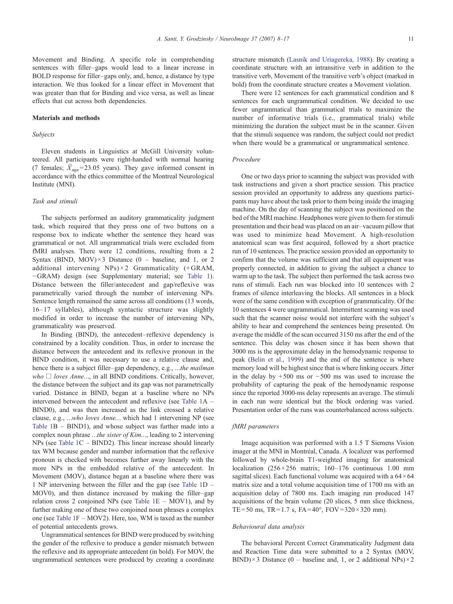Movement and Binding. A specific role in comprehending sentences with filler–gaps would lead to a linear increase in BOLD response for filler–gaps only, and, hence, a distance by type interaction. We thus looked for a linear effect in Movement that was greater than that for Binding and vice versa, as well as linear effects that cut across both dependencies.

#### Materials and methods

#### Subjects

Eleven students in Linguistics at McGill University volunteered. All participants were right-handed with normal hearing (7 females;  $\bar{X}_{\text{age}}$ =23.05 years). They gave informed consent in accordance with the ethics committee of the Montreal Neurological Institute (MNI).

## Task and stimuli

The subjects performed an auditory grammaticality judgment task, which required that they press one of two buttons on a response box to indicate whether the sentence they heard was grammatical or not. All ungrammatical trials were excluded from fMRI analyses. There were 12 conditions, resulting from a 2 Syntax (BIND, MOV) $\times$ 3 Distance (0 – baseline, and 1, or 2 additional intervening  $NPs$ ) × 2 Grammaticality (+GRAM, −GRAM) design (see Supplementary material; see [Table 1](#page-2-0)). Distance between the filler/antecedent and gap/reflexive was parametrically varied through the number of intervening NPs. Sentence length remained the same across all conditions (13 words, 16–17 syllables), although syntactic structure was slightly modified in order to increase the number of intervening NPs, grammaticality was preserved.

In Binding (BIND), the antecedent–reflexive dependency is constrained by a locality condition. Thus, in order to increase the distance between the antecedent and its reflexive pronoun in the BIND condition, it was necessary to use a relative clause and, hence there is a subject filler–gap dependency, e.g., ...the mailman who  $\Box$  loves Anne..., in all BIND conditions. Critically, however, the distance between the subject and its gap was not parametrically varied. Distance in BIND, began at a baseline where no NPs intervened between the antecedent and reflexive (see [Table 1A](#page-2-0) – BIND0), and was then increased as the link crossed a relative clause, e.g., …who loves Anne… which had 1 intervening NP (see [Table 1B](#page-2-0) – BIND1), and whose subject was further made into a complex noun phrase …the sister of Kim…, leading to 2 intervening NPs (see [Table 1C](#page-2-0) – BIND2). This linear increase should linearly tax WM because gender and number information that the reflexive pronoun is checked with becomes further away linearly with the more NPs in the embedded relative of the antecedent. In Movement (MOV), distance began at a baseline where there was 1 NP intervening between the filler and the gap (see [Table 1D](#page-2-0) – MOV0), and then distance increased by making the filler–gap relation cross 2 conjoined NPs (see [Table 1E](#page-2-0) – MOV1), and by further making one of these two conjoined noun phrases a complex one (see [Table 1](#page-2-0)F – MOV2). Here, too, WM is taxed as the number of potential antecedents grows.

Ungrammatical sentences for BIND were produced by switching the gender of the reflexive to produce a gender mismatch between the reflexive and its appropriate antecedent (in bold). For MOV, the ungrammatical sentences were produced by creating a coordinate structure mismatch [\(Lasnik and Uriagereka, 1988\)](#page-9-0). By creating a coordinate structure with an intransitive verb in addition to the transitive verb, Movement of the transitive verb's object (marked in bold) from the coordinate structure creates a Movement violation.

There were 12 sentences for each grammatical condition and 8 sentences for each ungrammatical condition. We decided to use fewer ungrammatical than grammatical trials to maximize the number of informative trials (i.e., grammatical trials) while minimizing the duration the subject must be in the scanner. Given that the stimuli sequence was random, the subject could not predict when there would be a grammatical or ungrammatical sentence.

#### Procedure

One or two days prior to scanning the subject was provided with task instructions and given a short practice session. This practice session provided an opportunity to address any questions participants may have about the task prior to them being inside the imaging machine. On the day of scanning the subject was positioned on the bed of the MRI machine. Headphones were given to them for stimuli presentation and their head was placed on an air–vacuum pillow that was used to minimize head Movement. A high-resolution anatomical scan was first acquired, followed by a short practice run of 10 sentences. The practice session provided an opportunity to confirm that the volume was sufficient and that all equipment was properly connected, in addition to giving the subject a chance to warm up to the task. The subject then performed the task across two runs of stimuli. Each run was blocked into 10 sentences with 2 frames of silence interleaving the blocks. All sentences in a block were of the same condition with exception of grammaticality. Of the 10 sentences 4 were ungrammatical. Intermittent scanning was used such that the scanner noise would not interfere with the subject's ability to hear and comprehend the sentences being presented. On average the middle of the scan occurred 3150 ms after the end of the sentence. This delay was chosen since it has been shown that 3000 ms is the approximate delay in the hemodynamic response to peak [\(Belin et al., 1999\)](#page-9-0) and the end of the sentence is where memory load will be highest since that is where linking occurs. Jitter in the delay by  $+500$  ms or  $-500$  ms was used to increase the probability of capturing the peak of the hemodynamic response since the reported 3000-ms delay represents an average. The stimuli in each run were identical but the block ordering was varied. Presentation order of the runs was counterbalanced across subjects.

#### fMRI parameters

Image acquisition was performed with a 1.5 T Siemens Vision imager at the MNI in Montréal, Canada. A localizer was performed followed by whole-brain T1-weighted imaging for anatomical localization  $(256 \times 256$  matrix; 160-176 continuous 1.00 mm sagittal slices). Each functional volume was acquired with a  $64 \times 64$ matrix size and a total volume acquisition time of 1700 ms with an acquisition delay of 7800 ms. Each imaging run produced 147 acquisitions of the brain volume (20 slices, 5 mm slice thickness, TE=50 ms, TR=1.7 s, FA=40°, FOV=320 × 320 mm).

#### Behavioural data analysis

The behavioral Percent Correct Grammaticality Judgment data and Reaction Time data were submitted to a 2 Syntax (MOV, BIND) × 3 Distance (0 – baseline and, 1, or 2 additional NPs) × 2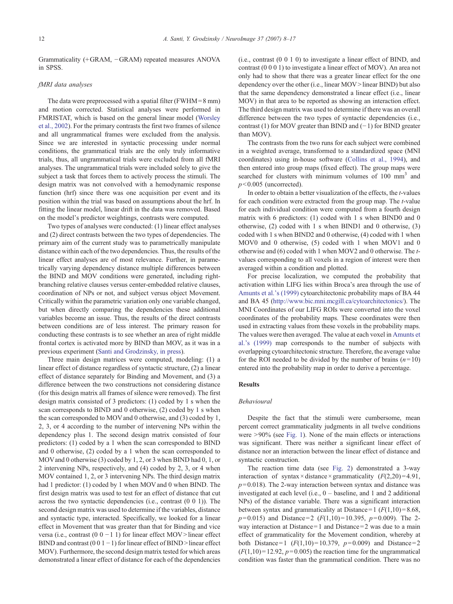Grammaticality (+GRAM, −GRAM) repeated measures ANOVA in SPSS.

## fMRI data analyses

The data were preprocessed with a spatial filter ( $FWHM = 8$  mm) and motion corrected. Statistical analyses were performed in FMRISTAT, which is based on the general linear model [\(Worsley](#page-9-0) [et al., 2002\)](#page-9-0). For the primary contrasts the first two frames of silence and all ungrammatical frames were excluded from the analysis. Since we are interested in syntactic processing under normal conditions, the grammatical trials are the only truly informative trials, thus, all ungrammatical trials were excluded from all fMRI analyses. The ungrammatical trials were included solely to give the subject a task that forces them to actively process the stimuli. The design matrix was not convolved with a hemodynamic response function (hrf) since there was one acquisition per event and its position within the trial was based on assumptions about the hrf. In fitting the linear model, linear drift in the data was removed. Based on the model's predictor weightings, contrasts were computed.

Two types of analyses were conducted: (1) linear effect analyses and (2) direct contrasts between the two types of dependencies. The primary aim of the current study was to parametrically manipulate distance within each of the two dependencies. Thus, the results of the linear effect analyses are of most relevance. Further, in parametrically varying dependency distance multiple differences between the BIND and MOV conditions were generated, including rightbranching relative clauses versus center-embedded relative clauses, coordination of NPs or not, and subject versus object Movement. Critically within the parametric variation only one variable changed, but when directly comparing the dependencies these additional variables become an issue. Thus, the results of the direct contrasts between conditions are of less interest. The primary reason for conducting these contrasts is to see whether an area of right middle frontal cortex is activated more by BIND than MOV, as it was in a previous experiment ([Santi and Grodzinsky, in press](#page-9-0)).

Three main design matrices were computed, modeling: (1) a linear effect of distance regardless of syntactic structure, (2) a linear effect of distance separately for Binding and Movement, and (3) a difference between the two constructions not considering distance (for this design matrix all frames of silence were removed). The first design matrix consisted of 3 predictors: (1) coded by 1 s when the scan corresponds to BIND and 0 otherwise, (2) coded by 1 s when the scan corresponded to MOV and 0 otherwise, and (3) coded by 1, 2, 3, or 4 according to the number of intervening NPs within the dependency plus 1. The second design matrix consisted of four predictors: (1) coded by a 1 when the scan corresponded to BIND and 0 otherwise, (2) coded by a 1 when the scan corresponded to MOVand 0 otherwise (3) coded by 1, 2, or 3 when BIND had 0, 1, or 2 intervening NPs, respectively, and (4) coded by 2, 3, or 4 when MOV contained 1, 2, or 3 intervening NPs. The third design matrix had 1 predictor: (1) coded by 1 when MOV and 0 when BIND. The first design matrix was used to test for an effect of distance that cut across the two syntactic dependencies (i.e., contrast (0 0 1)). The second design matrix was used to determine if the variables, distance and syntactic type, interacted. Specifically, we looked for a linear effect in Movement that was greater than that for Binding and vice versa (i.e., contrast (0 0 −1 1) for linear effect MOV>linear effect BIND and contrast (0 0 1 – 1) for linear effect of BIND > linear effect MOV). Furthermore, the second design matrix tested for which areas demonstrated a linear effect of distance for each of the dependencies (i.e., contrast (0 0 1 0) to investigate a linear effect of BIND, and contrast (0 0 0 1) to investigate a linear effect of MOV). An area not only had to show that there was a greater linear effect for the one dependency over the other (i.e., linear  $MOV$  > linear BIND) but also that the same dependency demonstrated a linear effect (i.e., linear MOV) in that area to be reported as showing an interaction effect. The third design matrix was used to determine if there was an overall difference between the two types of syntactic dependencies (i.e., contrast (1) for MOV greater than BIND and (−1) for BIND greater than MOV).

The contrasts from the two runs for each subject were combined in a weighted average, transformed to a standardized space (MNI coordinates) using in-house software [\(Collins et al., 1994\)](#page-9-0), and then entered into group maps (fixed effect). The group maps were searched for clusters with minimum volumes of 100 mm<sup>3</sup> and  $p<0.005$  (uncorrected).

In order to obtain a better visualization of the effects, the t-values for each condition were extracted from the group map. The t-value for each individual condition were computed from a fourth design matrix with 6 predictors: (1) coded with 1 s when BIND0 and 0 otherwise, (2) coded with 1 s when BIND1 and 0 otherwise, (3) coded with 1 s when BIND2 and 0 otherwise, (4) coded with 1 when MOV0 and 0 otherwise, (5) coded with 1 when MOV1 and 0 otherwise and (6) coded with 1 when MOV2 and 0 otherwise. The tvalues corresponding to all voxels in a region of interest were then averaged within a condition and plotted.

For precise localization, we computed the probability that activation within LIFG lies within Broca's area through the use of [Amunts et al.'s \(1999\)](#page-9-0) cytoarchitectonic probability maps of BA 44 and BA 45 [\(http://www.bic.mni.mcgill.ca/cytoarchitectonics/](http://www.bic.mni.mcgill.ca/cytoarchitectonics/)). The MNI Coordinates of our LIFG ROIs were converted into the voxel coordinates of the probability maps. These coordinates were then used in extracting values from these voxels in the probability maps. The values were then averaged. The value at each voxel in [Amunts et](#page-9-0) [al.'s \(1999\)](#page-9-0) map corresponds to the number of subjects with overlapping cytoarchitectonic structure. Therefore, the average value for the ROI needed to be divided by the number of brains  $(n=10)$ entered into the probability map in order to derive a percentage.

## Results

#### Behavioural

Despite the fact that the stimuli were cumbersome, mean percent correct grammaticality judgments in all twelve conditions were  $>90\%$  (see [Fig. 1](#page-5-0)). None of the main effects or interactions was significant. There was neither a significant linear effect of distance nor an interaction between the linear effect of distance and syntactic construction.

The reaction time data (see [Fig. 2\)](#page-5-0) demonstrated a 3-way interaction of syntax  $\times$  distance  $\times$  grammaticality ( $F(2,20) = 4.91$ ,  $p= 0.018$ ). The 2-way interaction between syntax and distance was investigated at each level (i.e., 0 – baseline, and 1 and 2 additional NPs) of the distance variable. There was a significant interaction between syntax and grammaticality at Distance =  $1 (F(1,10) = 8.68,$  $p= 0.015$ ) and Distance = 2 ( $F(1,10) = 10.395$ ,  $p= 0.009$ ). The 2way interaction at Distance = 1 and Distance = 2 was due to a main effect of grammaticality for the Movement condition, whereby at both Distance = 1  $(F(1,10) = 10.379, p = 0.009)$  and Distance = 2  $(F(1,10)=12.92, p=0.005)$  the reaction time for the ungrammatical condition was faster than the grammatical condition. There was no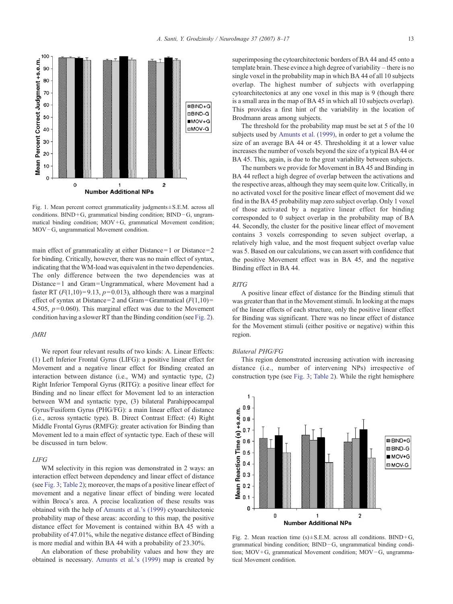<span id="page-5-0"></span>

Fig. 1. Mean percent correct grammaticality judgments ± S.E.M. across all conditions. BIND +G, grammatical binding condition; BIND−G, ungrammatical binding condition; MOV +G, grammatical Movement condition; MOV−G, ungrammatical Movement condition.

main effect of grammaticality at either Distance =  $1$  or Distance =  $2$ for binding. Critically, however, there was no main effect of syntax, indicating that the WM-load was equivalent in the two dependencies. The only difference between the two dependencies was at Distance = 1 and Gram= Ungrammatical, where Movement had a faster RT  $(F(1,10)=9.13, p=0.013)$ , although there was a marginal effect of syntax at Distance= 2 and Gram = Grammatical  $(F(1,10)$ = 4.505,  $p=0.060$ ). This marginal effect was due to the Movement condition having a slower RT than the Binding condition (see Fig. 2).

## fMRI

We report four relevant results of two kinds: A. Linear Effects: (1) Left Inferior Frontal Gyrus (LIFG): a positive linear effect for Movement and a negative linear effect for Binding created an interaction between distance (i.e., WM) and syntactic type, (2) Right Inferior Temporal Gyrus (RITG): a positive linear effect for Binding and no linear effect for Movement led to an interaction between WM and syntactic type, (3) bilateral Parahippocampal Gyrus/Fusiform Gyrus (PHG/FG): a main linear effect of distance (i.e., across syntactic type). B. Direct Contrast Effect: (4) Right Middle Frontal Gyrus (RMFG): greater activation for Binding than Movement led to a main effect of syntactic type. Each of these will be discussed in turn below.

#### LIFG

WM selectivity in this region was demonstrated in 2 ways: an interaction effect between dependency and linear effect of distance (see [Fig. 3;](#page-6-0) [Table 2\)](#page-7-0); moreover, the maps of a positive linear effect of movement and a negative linear effect of binding were located within Broca's area. A precise localization of these results was obtained with the help of [Amunts et al.'s \(1999\)](#page-9-0) cytoarchitectonic probability map of these areas: according to this map, the positive distance effect for Movement is contained within BA 45 with a probability of 47.01%, while the negative distance effect of Binding is more medial and within BA 44 with a probability of 23.30%.

An elaboration of these probability values and how they are obtained is necessary. [Amunts et al.'s \(1999\)](#page-9-0) map is created by superimposing the cytoarchitectonic borders of BA 44 and 45 onto a template brain. These evince a high degree of variability – there is no single voxel in the probability map in which BA 44 of all 10 subjects overlap. The highest number of subjects with overlapping cytoarchitectonics at any one voxel in this map is 9 (though there is a small area in the map of BA 45 in which all 10 subjects overlap). This provides a first hint of the variability in the location of Brodmann areas among subjects.

The threshold for the probability map must be set at 5 of the 10 subjects used by [Amunts et al. \(1999\),](#page-9-0) in order to get a volume the size of an average BA 44 or 45. Thresholding it at a lower value increases the number of voxels beyond the size of a typical BA 44 or BA 45. This, again, is due to the great variability between subjects.

The numbers we provide for Movement in BA 45 and Binding in BA 44 reflect a high degree of overlap between the activations and the respective areas, although they may seem quite low. Critically, in no activated voxel for the positive linear effect of movement did we find in the BA 45 probability map zero subject overlap. Only 1 voxel of those activated by a negative linear effect for binding corresponded to 0 subject overlap in the probability map of BA 44. Secondly, the cluster for the positive linear effect of movement contains 3 voxels corresponding to seven subject overlap, a relatively high value, and the most frequent subject overlap value was 5. Based on our calculations, we can assert with confidence that the positive Movement effect was in BA 45, and the negative Binding effect in BA 44.

#### RITG

A positive linear effect of distance for the Binding stimuli that was greater than that in the Movement stimuli. In looking at the maps of the linear effects of each structure, only the positive linear effect for Binding was significant. There was no linear effect of distance for the Movement stimuli (either positive or negative) within this region.

#### Bilateral PHG/FG

This region demonstrated increasing activation with increasing distance (i.e., number of intervening NPs) irrespective of construction type (see [Fig. 3;](#page-6-0) [Table 2](#page-7-0)). While the right hemisphere



Fig. 2. Mean reaction time  $(s) \pm S.E.M.$  across all conditions. BIND+G, grammatical binding condition; BIND−G, ungrammatical binding condition; MOV+ G, grammatical Movement condition; MOV−G, ungrammatical Movement condition.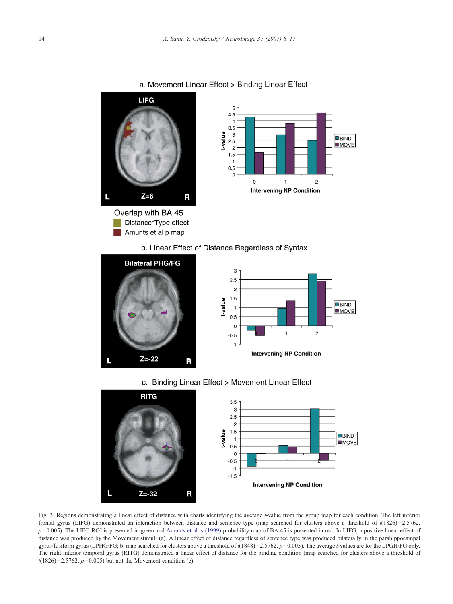<span id="page-6-0"></span>

## a. Movement Linear Effect > Binding Linear Effect





## c. Binding Linear Effect > Movement Linear Effect



Fig. 3. Regions demonstrating a linear effect of distance with charts identifying the average t-value from the group map for each condition. The left inferior frontal gyrus (LIFG) demonstrated an interaction between distance and sentence type (map searched for clusters above a threshold of  $t(1826)=2.5762$ ,  $p=0.005$ ). The LIFG ROI is presented in green and [Amunts et al.'s \(1999\)](#page-9-0) probability map of BA 45 is presented in red. In LIFG, a positive linear effect of distance was produced by the Movement stimuli (a). A linear effect of distance regardless of sentence type was produced bilaterally in the parahippocampal gyrus/fusiform gyrus (LPHG/FG; b; map searched for clusters above a threshold of  $t(1848) = 2.5762$ ,  $p = 0.005$ ). The average t-values are for the LPGH/FG only. The right inferior temporal gyrus (RITG) demonstrated a linear effect of distance for the binding condition (map searched for clusters above a threshold of  $t(1826) = 2.5762$ ,  $p=0.005$ ) but not the Movement condition (c).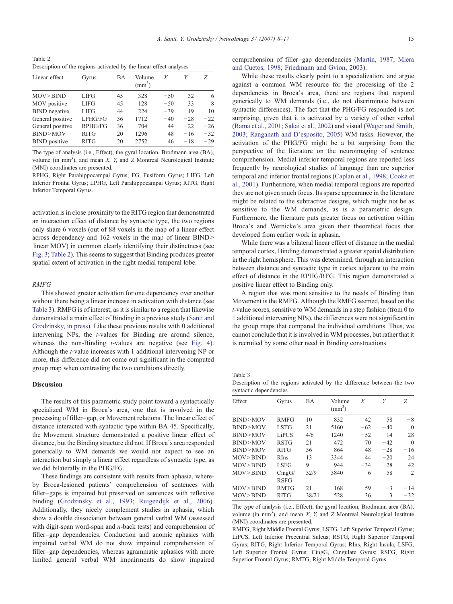<span id="page-7-0"></span>Table 2 Description of the regions activated by the linear effect analyses

| Linear effect        | Gyrus       | ВA | Volume<br>(mm <sup>3</sup> ) | X     | Y     | Z     |
|----------------------|-------------|----|------------------------------|-------|-------|-------|
| MOV>BIND             | LIFG        | 45 | 328                          | $-50$ | 32    | 6     |
| MOV positive         | LIFG        | 45 | 128                          | $-50$ | 33    | 8     |
| <b>BIND</b> negative | LIFG        | 44 | 224                          | $-39$ | 19    | 10    |
| General positive     | LPHG/FG     | 36 | 1712                         | $-40$ | $-28$ | $-22$ |
| General positive     | RPHG/FG     | 36 | 704                          | 44    | $-22$ | $-26$ |
| BIND>MOV             | <b>RITG</b> | 20 | 1296                         | 48    | $-16$ | $-32$ |
| <b>BIND</b> positive | <b>RITG</b> | 20 | 2752                         | 46    | $-18$ | $-29$ |

The type of analysis (i.e., Effect), the gyral location, Brodmann area (BA), volume (in mm<sup>3</sup>), and mean  $X$ ,  $Y$ , and  $Z$  Montreal Neurological Institute (MNI) coordinates are presented.

RPHG, Right Parahippocampal Gyrus; FG, Fusiform Gyrus; LIFG, Left Inferior Frontal Gyrus; LPHG, Left Parahippocampal Gyrus; RITG, Right Inferior Temporal Gyrus.

activation is in close proximity to the RITG region that demonstrated an interaction effect of distance by syntactic type, the two regions only share 6 voxels (out of 88 voxels in the map of a linear effect across dependency and  $162$  voxels in the map of linear BIND $>$ linear MOV) in common clearly identifying their distinctness (see [Fig. 3;](#page-6-0) Table 2). This seems to suggest that Binding produces greater spatial extent of activation in the right medial temporal lobe.

#### RMFG

This showed greater activation for one dependency over another without there being a linear increase in activation with distance (see Table 3). RMFG is of interest, as it is similar to a region that likewise demonstrated a main effect of Binding in a previous study ([Santi and](#page-9-0) [Grodzinsky, in press\)](#page-9-0). Like these previous results with 0 additional intervening NPs, the t-values for Binding are around silence, whereas the non-Binding *t*-values are negative (see [Fig. 4](#page-8-0)). Although the t-value increases with 1 additional intervening NP or more, this difference did not come out significant in the computed group map when contrasting the two conditions directly.

### Discussion

The results of this parametric study point toward a syntactically specialized WM in Broca's area, one that is involved in the processing of filler–gap, or Movement relations. The linear effect of distance interacted with syntactic type within BA 45. Specifically, the Movement structure demonstrated a positive linear effect of distance, but the Binding structure did not. If Broca's area responded generically to WM demands we would not expect to see an interaction but simply a linear effect regardless of syntactic type, as we did bilaterally in the PHG/FG.

These findings are consistent with results from aphasia, whereby Broca-lesioned patients' comprehension of sentences with filler–gaps is impaired but preserved on sentences with reflexive binding ([Grodzinsky et al., 1993; Ruigendijk et al., 2006](#page-9-0)). Additionally, they nicely complement studies in aphasia, which show a double dissociation between general verbal WM (assessed with digit-span word-span and  $n$ -back tests) and comprehension of filler–gap dependencies. Conduction and anomic aphasics with impaired verbal WM do not show impaired comprehension of filler–gap dependencies, whereas agrammatic aphasics with more limited general verbal WM impairments do show impaired

comprehension of filler–gap dependencies ([Martin, 1987; Miera](#page-9-0) [and Cuetos, 1998; Friedmann and Gvion, 2003](#page-9-0)).

While these results clearly point to a specialization, and argue against a common WM resource for the processing of the 2 dependencies in Broca's area, there are regions that respond generically to WM demands (i.e., do not discriminate between syntactic differences). The fact that the PHG/FG responded is not surprising, given that it is activated by a variety of other verbal [\(Rama et al., 2001; Sakai et al., 2002](#page-9-0)) and visual [\(Wager and Smith,](#page-9-0) [2003; Ranganath and D'esposito, 2005\)](#page-9-0) WM tasks. However, the activation of the PHG/FG might be a bit surprising from the perspective of the literature on the neuroimaging of sentence comprehension. Medial inferior temporal regions are reported less frequently by neurological studies of language than are superior temporal and inferior frontal regions [\(Caplan et al., 1998; Cooke et](#page-9-0) [al., 2001](#page-9-0)). Furthermore, when medial temporal regions are reported they are not given much focus. Its sparse appearance in the literature might be related to the subtractive designs, which might not be as sensitive to the WM demands, as is a parametric design. Furthermore, the literature puts greater focus on activation within Broca's and Wernicke's area given their theoretical focus that developed from earlier work in aphasia.

While there was a bilateral linear effect of distance in the medial temporal cortex, Binding demonstrated a greater spatial distribution in the right hemisphere. This was determined, through an interaction between distance and syntactic type in cortex adjacent to the main effect of distance in the RPHG/RFG. This region demonstrated a positive linear effect to Binding only.

A region that was more sensitive to the needs of Binding than Movement is the RMFG. Although the RMFG seemed, based on the t-value scores, sensitive to WM demands in a step fashion (from 0 to 1 additional intervening NPs), the differences were not significant in the group maps that compared the individual conditions. Thus, we cannot conclude that it is involved in WM processes, but rather that it is recruited by some other need in Binding constructions.

Table 3

Description of the regions activated by the difference between the two syntactic dependencies

| Effect     | Gyrus                 | <b>BA</b> | Volume<br>$\text{mm}^3$ | X     | Y     | Z        |
|------------|-----------------------|-----------|-------------------------|-------|-------|----------|
| BIND>MOV   | <b>RMFG</b>           | 10        | 832                     | 42    | 58    | $-8$     |
| BIND>MOV   | <b>LSTG</b>           | 21        | 5160                    | $-62$ | $-40$ | $\Omega$ |
| BIND>MOV   | LiPCS                 | 4/6       | 1240                    | $-52$ | 14    | 28       |
| BIND>MOV   | <b>RSTG</b>           | 21        | 472                     | 70    | $-42$ | $\Omega$ |
| BIND>MOV   | <b>RITG</b>           | 36        | 864                     | 48    | $-28$ | $-16$    |
| MOV > BIND | <b>RIns</b>           | 13        | 3344                    | 44    | $-20$ | 24       |
| MOV > BIND | <b>LSEG</b>           | 9         | 944                     | $-34$ | 28    | 42       |
| MOV > BIND | CingG/<br><b>RSFG</b> | 32/9      | 3840                    | 6     | 58    | 2        |
| MOV > BIND | <b>RMTG</b>           | 21        | 168                     | 59    | $-3$  | $-14$    |
| MOV > BIND | <b>RITG</b>           | 38/21     | 528                     | 36    | 3     | $-32$    |

The type of analysis (i.e., Effect), the gyral location, Brodmann area (BA), volume (in  $mm<sup>3</sup>$ ), and mean X, Y, and Z Montreal Neurological Institute (MNI) coordinates are presented.

RMFG, Right Middle Frontal Gyrus; LSTG, Left Superior Temporal Gyrus; LiPCS, Left Inferior Precentral Sulcus; RSTG, Right Superior Temporal Gyrus; RITG, Right Inferior Temporal Gyrus; RIns, Right Insula; LSFG, Left Superior Frontal Gyrus; CingG, Cingulate Gyrus; RSFG, Right Superior Frontal Gyrus; RMTG, Right Middle Temporal Gyrus.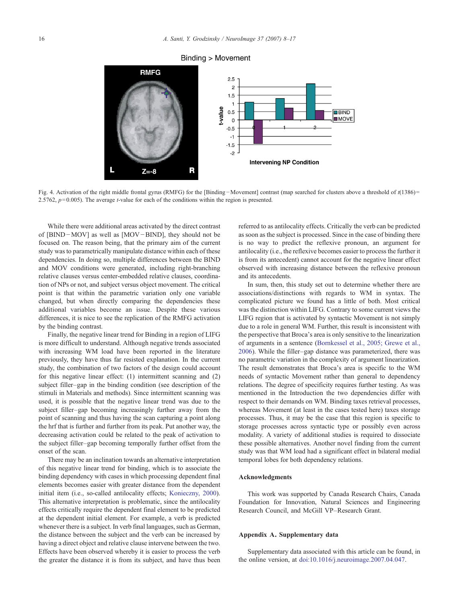#### Binding > Movement

<span id="page-8-0"></span>

Fig. 4. Activation of the right middle frontal gyrus (RMFG) for the [Binding−Movement] contrast (map searched for clusters above a threshold of t(1386)= 2.5762,  $p=0.005$ ). The average *t*-value for each of the conditions within the region is presented.

While there were additional areas activated by the direct contrast of [BIND−MOV] as well as [MOV−BIND], they should not be focused on. The reason being, that the primary aim of the current study was to parametrically manipulate distance within each of these dependencies. In doing so, multiple differences between the BIND and MOV conditions were generated, including right-branching relative clauses versus center-embedded relative clauses, coordination of NPs or not, and subject versus object movement. The critical point is that within the parametric variation only one variable changed, but when directly comparing the dependencies these additional variables become an issue. Despite these various differences, it is nice to see the replication of the RMFG activation by the binding contrast.

Finally, the negative linear trend for Binding in a region of LIFG is more difficult to understand. Although negative trends associated with increasing WM load have been reported in the literature previously, they have thus far resisted explanation. In the current study, the combination of two factors of the design could account for this negative linear effect: (1) intermittent scanning and (2) subject filler–gap in the binding condition (see description of the stimuli in Materials and methods). Since intermittent scanning was used, it is possible that the negative linear trend was due to the subject filler–gap becoming increasingly further away from the point of scanning and thus having the scan capturing a point along the hrf that is further and further from its peak. Put another way, the decreasing activation could be related to the peak of activation to the subject filler–gap becoming temporally further offset from the onset of the scan.

There may be an inclination towards an alternative interpretation of this negative linear trend for binding, which is to associate the binding dependency with cases in which processing dependent final elements becomes easier with greater distance from the dependent initial item (i.e., so-called antilocality effects; [Konieczny, 2000\)](#page-9-0). This alternative interpretation is problematic, since the antilocality effects critically require the dependent final element to be predicted at the dependent initial element. For example, a verb is predicted whenever there is a subject. In verb final languages, such as German, the distance between the subject and the verb can be increased by having a direct object and relative clause intervene between the two. Effects have been observed whereby it is easier to process the verb the greater the distance it is from its subject, and have thus been

referred to as antilocality effects. Critically the verb can be predicted as soon as the subject is processed. Since in the case of binding there is no way to predict the reflexive pronoun, an argument for antilocality (i.e., the reflexive becomes easier to process the further it is from its antecedent) cannot account for the negative linear effect observed with increasing distance between the reflexive pronoun and its antecedents.

In sum, then, this study set out to determine whether there are associations/distinctions with regards to WM in syntax. The complicated picture we found has a little of both. Most critical was the distinction within LIFG. Contrary to some current views the LIFG region that is activated by syntactic Movement is not simply due to a role in general WM. Further, this result is inconsistent with the perspective that Broca's area is only sensitive to the linearization of arguments in a sentence [\(Bornkessel et al., 2005; Grewe et al.,](#page-9-0) [2006\)](#page-9-0). While the filler–gap distance was parameterized, there was no parametric variation in the complexity of argument linearization. The result demonstrates that Broca's area is specific to the WM needs of syntactic Movement rather than general to dependency relations. The degree of specificity requires further testing. As was mentioned in the Introduction the two dependencies differ with respect to their demands on WM. Binding taxes retrieval processes, whereas Movement (at least in the cases tested here) taxes storage processes. Thus, it may be the case that this region is specific to storage processes across syntactic type or possibly even across modality. A variety of additional studies is required to dissociate these possible alternatives. Another novel finding from the current study was that WM load had a significant effect in bilateral medial temporal lobes for both dependency relations.

### Acknowledgments

This work was supported by Canada Research Chairs, Canada Foundation for Innovation, Natural Sciences and Engineering Research Council, and McGill VP–Research Grant.

#### Appendix A. Supplementary data

Supplementary data associated with this article can be found, in the online version, at [doi:10.1016/j.neuroimage.2007.04.047.](http://dx.doi.org/doi:10.1016/j.neuroimage.2007.04.047)